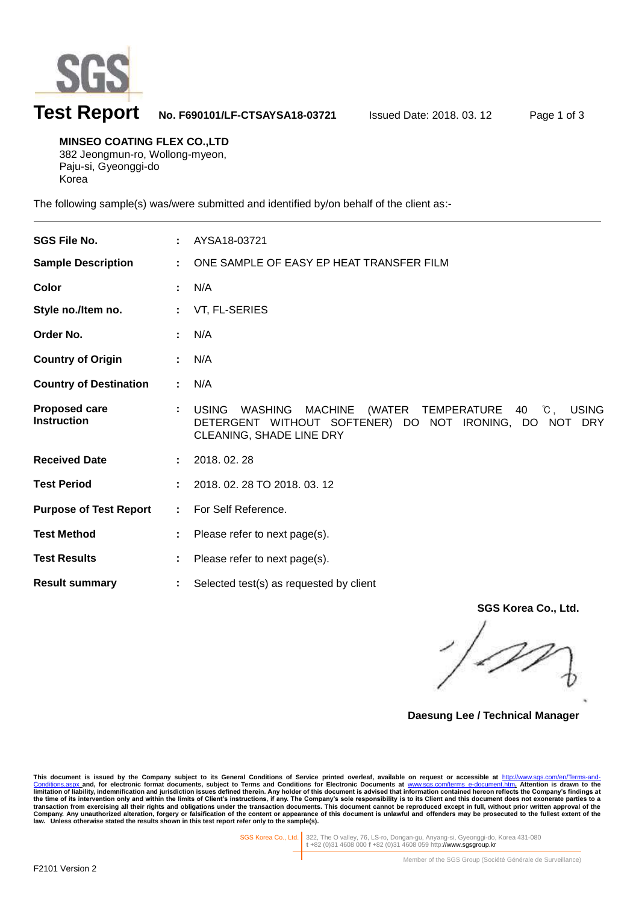

l

## **Test Report No. F690101/LF-CTSAYSA18-03721** Issued Date: 2018. 03. 12 Page 1 of 3

**MINSEO COATING FLEX CO.,LTD** 382 Jeongmun-ro, Wollong-myeon, Paju-si, Gyeonggi-do Korea

The following sample(s) was/were submitted and identified by/on behalf of the client as:-

| <b>SGS File No.</b>                        |    | AYSA18-03721                                                                                                                                                                           |
|--------------------------------------------|----|----------------------------------------------------------------------------------------------------------------------------------------------------------------------------------------|
| <b>Sample Description</b>                  |    | ONE SAMPLE OF EASY EP HEAT TRANSFER FILM                                                                                                                                               |
| Color                                      |    | N/A                                                                                                                                                                                    |
| Style no./Item no.                         |    | VT, FL-SERIES                                                                                                                                                                          |
| Order No.                                  |    | N/A                                                                                                                                                                                    |
| <b>Country of Origin</b>                   |    | N/A                                                                                                                                                                                    |
| <b>Country of Destination</b>              |    | N/A                                                                                                                                                                                    |
| <b>Proposed care</b><br><b>Instruction</b> |    | (WATER TEMPERATURE<br>40 °C.<br><b>USING</b><br><b>USING</b><br><b>WASHING</b><br><b>MACHINE</b><br>DETERGENT WITHOUT SOFTENER) DO NOT IRONING, DO NOT DRY<br>CLEANING, SHADE LINE DRY |
| <b>Received Date</b>                       |    | 2018.02.28                                                                                                                                                                             |
| <b>Test Period</b>                         |    | 2018. 02. 28 TO 2018. 03. 12                                                                                                                                                           |
| <b>Purpose of Test Report</b>              | ÷. | For Self Reference.                                                                                                                                                                    |
| <b>Test Method</b>                         |    | Please refer to next page(s).                                                                                                                                                          |
| <b>Test Results</b>                        |    | Please refer to next page(s).                                                                                                                                                          |
| <b>Result summary</b>                      |    | Selected test(s) as requested by client                                                                                                                                                |

**SGS Korea Co., Ltd.**

**Daesung Lee / Technical Manager**

This document is issued by the Company subject to its General Conditions of Service printed overleaf, available on request or accessible at http://www.sgs.com/en/Terms-and-Conditions for Service printed overleaf, available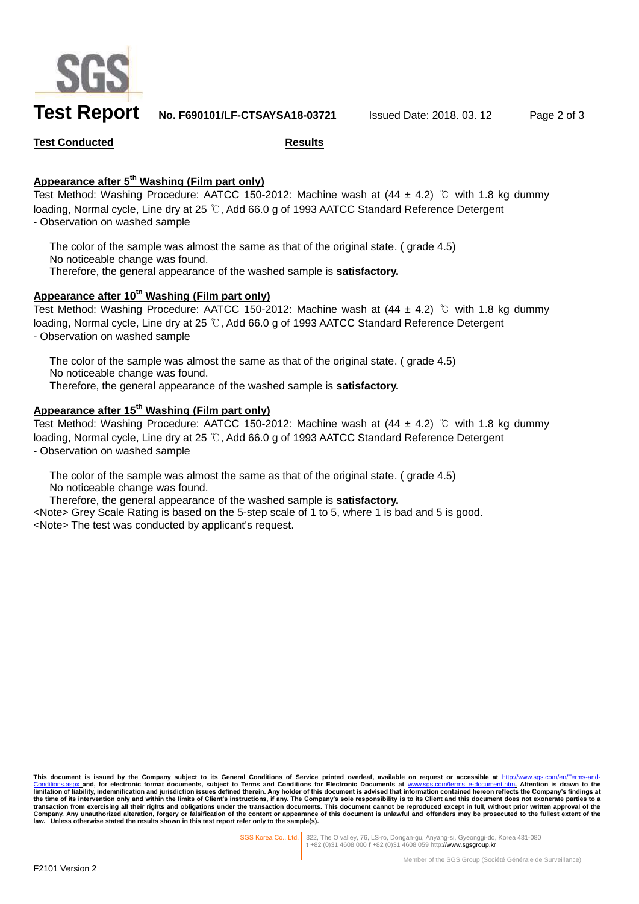

**Test Report No. F690101/LF-CTSAYSA18-03721** Issued Date: 2018. 03. 12 Page 2 of 3

**Test Conducted Results**

## **Appearance after 5 th Washing (Film part only)**

Test Method: Washing Procedure: AATCC 150-2012: Machine wash at  $(44 \pm 4.2)$  ℃ with 1.8 kg dummy loading, Normal cycle, Line dry at 25 ℃, Add 66.0 g of 1993 AATCC Standard Reference Detergent - Observation on washed sample

The color of the sample was almost the same as that of the original state. ( grade 4.5) No noticeable change was found. Therefore, the general appearance of the washed sample is **satisfactory.**

## **Appearance after 10th Washing (Film part only)**

Test Method: Washing Procedure: AATCC 150-2012: Machine wash at (44 ± 4.2) ℃ with 1.8 kg dummy loading, Normal cycle, Line dry at 25 ℃, Add 66.0 g of 1993 AATCC Standard Reference Detergent - Observation on washed sample

The color of the sample was almost the same as that of the original state. (grade 4.5) No noticeable change was found. Therefore, the general appearance of the washed sample is **satisfactory.**

## **Appearance after 15 th Washing (Film part only)**

Test Method: Washing Procedure: AATCC 150-2012: Machine wash at  $(44 \pm 4.2)$  °C with 1.8 kg dummy loading, Normal cycle, Line dry at 25 ℃, Add 66.0 g of 1993 AATCC Standard Reference Detergent - Observation on washed sample

The color of the sample was almost the same as that of the original state. ( grade 4.5) No noticeable change was found.

Therefore, the general appearance of the washed sample is **satisfactory.**

<Note> Grey Scale Rating is based on the 5-step scale of 1 to 5, where 1 is bad and 5 is good. <Note> The test was conducted by applicant's request.

This document is issued by the Company subject to its General Conditions of Service printed overleaf, available on request or accessible at <u>http://www.sgs.com/en/Terms-and-</u><br><u>[Conditions.aspx](http://www.sgs.com/en/Terms-and-Conditions.aspx) a</u>nd, for electronic format do **limitation of liability, indemnification and jurisdiction issues defined therein.** Any holder of this document is advised that information contained hereon reflects the Company's findings at limitation of liability, indem the time of its intervention only and within the limits of Client's instructions, if any. The Company's sole responsibility is to its Client and this document does not exonerate parties to a<br>transaction from exercising all **law. Unless otherwise stated the results shown in this test report refer only to the sample(s).**